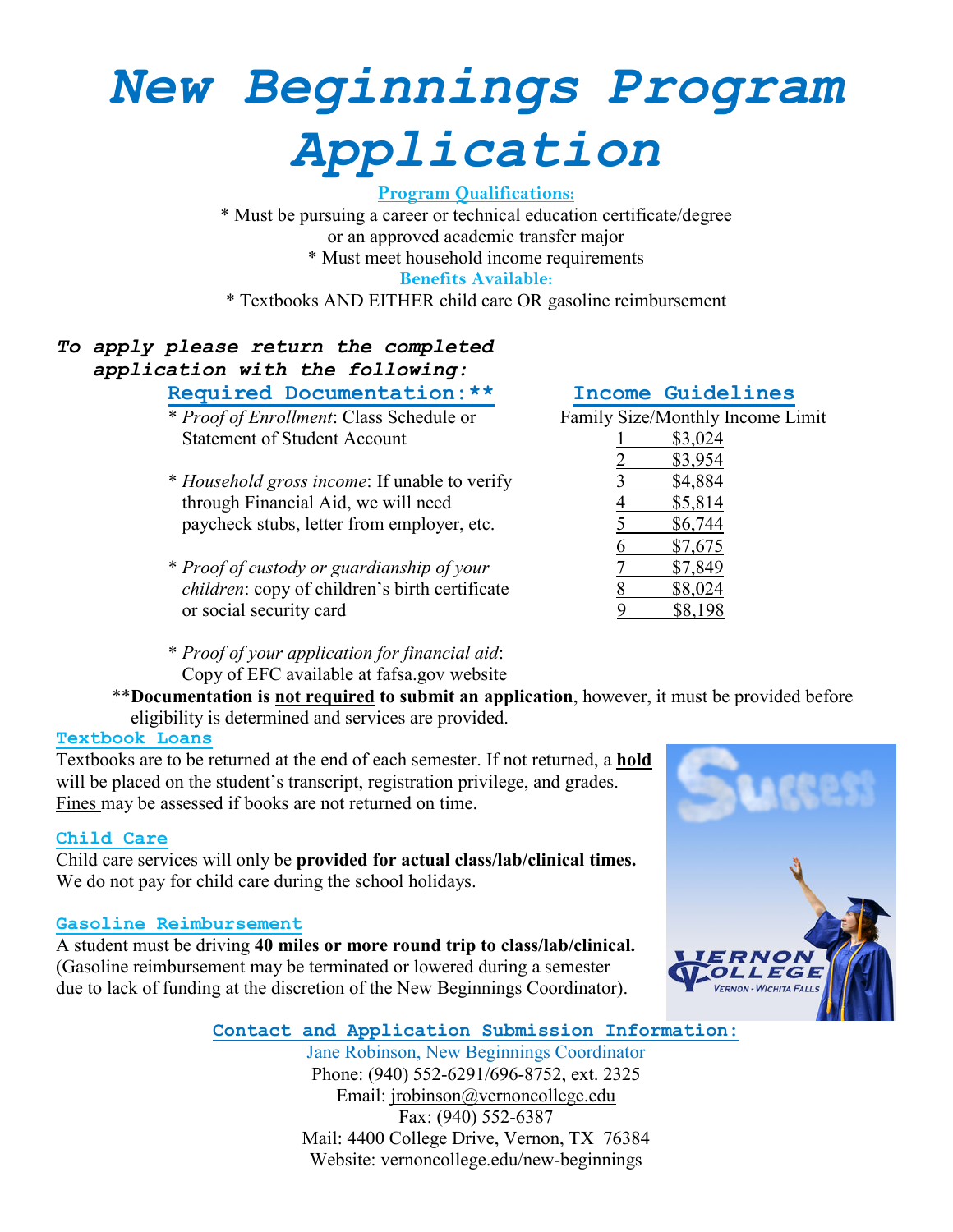# *New Beginnings Program Application*

**Program Qualifications:**

\* Must be pursuing a career or technical education certificate/degree or an approved academic transfer major \* Must meet household income requirements **Benefits Available:**

\* Textbooks AND EITHER child care OR gasoline reimbursement

# *To apply please return the completed application with the following:*

 $*$  *Proof of Enrollment*: Class Schedule or Statement of Student Account

- \* *Household gross income*: If unable to verify 3 \$4,884 through Financial Aid, we will need paycheck stubs, letter from employer, etc.
- \* *Proof of custody or guardianship of your* 7 \$7,849 *children*: copy of children's birth certificate or social security card
- \* *Proof of your application for financial aid*: Copy of EFC available at fafsa.gov website
- \*\***Documentation is not required to submit an application**, however, it must be provided before eligibility is determined and services are provided.

# **Textbook Loans**

Textbooks are to be returned at the end of each semester. If not returned, a **hold** will be placed on the student's transcript, registration privilege, and grades. Fines may be assessed if books are not returned on time.

## **Child Care**

Child care services will only be **provided for actual class/lab/clinical times.** We do not pay for child care during the school holidays.

## **Gasoline Reimbursement**

A student must be driving **40 miles or more round trip to class/lab/clinical.**  (Gasoline reimbursement may be terminated or lowered during a semester due to lack of funding at the discretion of the New Beginnings Coordinator).

**Required Documentation: \*\***<br> *\* Proof of Enrollment*: Class Schedule or Family Size/Monthly Income Limit

| <b>Statement of Student Account</b>                   | \$3,024 |
|-------------------------------------------------------|---------|
|                                                       | \$3,954 |
| * <i>Household gross income</i> : If unable to verify | \$4,884 |
| through Financial Aid, we will need                   | \$5,814 |
| paycheck stubs, letter from employer, etc.            | \$6,744 |
|                                                       | \$7,675 |
| * Proof of custody or guardianship of your            | \$7,849 |
| <i>children:</i> copy of children's birth certificate | \$8,024 |
| or social security card                               | \$8,198 |



**Contact and Application Submission Information:**

Jane Robinson, New Beginnings Coordinator Phone: (940) 552-6291/696-8752, ext. 2325 Email: [jrobinson@vernoncollege.edu](mailto:jrobinson@vernoncollege.edu) Fax: (940) 552-6387 Mail: 4400 College Drive, Vernon, TX 76384 Website: vernoncollege.edu/new-beginnings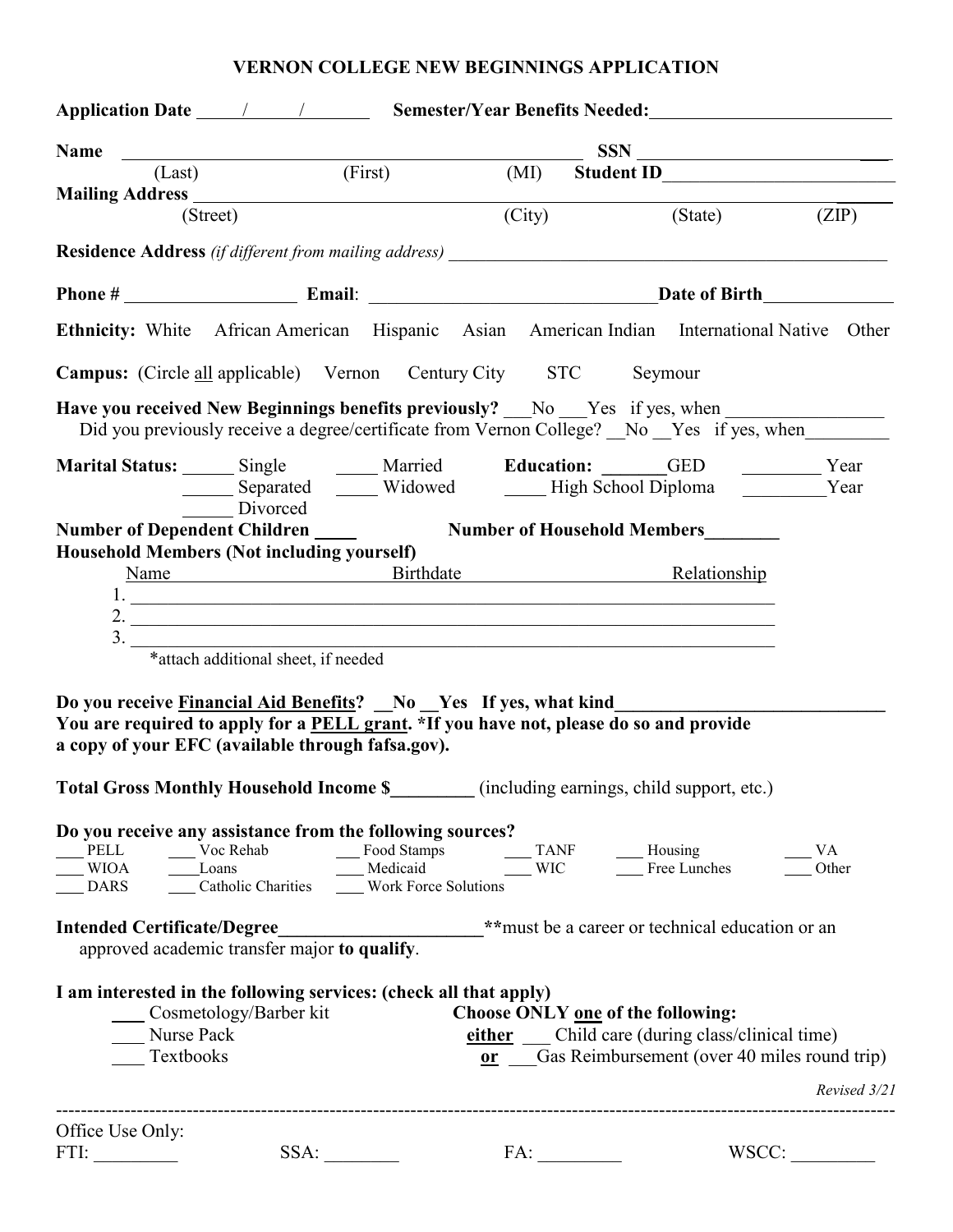# **VERNON COLLEGE NEW BEGINNINGS APPLICATION**

|                                                                                                                             |                                              |      |        | Application Date <u>1 / 1 Semester/Year Benefits Needed:</u>                                                                                                                                                                                                       |              |
|-----------------------------------------------------------------------------------------------------------------------------|----------------------------------------------|------|--------|--------------------------------------------------------------------------------------------------------------------------------------------------------------------------------------------------------------------------------------------------------------------|--------------|
|                                                                                                                             |                                              |      |        | Name CLast (Eirst) (MI) Student ID                                                                                                                                                                                                                                 |              |
|                                                                                                                             |                                              |      |        | (MI) Student ID<br>Student ID<br>Student ID<br>Student ID<br>Student ID<br>Student ID<br>Student ID<br>Student ID<br>Student ID<br>Student ID<br>Student ID<br>Student ID<br>Student ID<br>Student ID<br>Student ID<br>Student ID<br>Student ID<br>Student ID<br>S |              |
|                                                                                                                             | (Street)                                     |      | (City) | (State)                                                                                                                                                                                                                                                            | (ZIP)        |
|                                                                                                                             |                                              |      |        |                                                                                                                                                                                                                                                                    |              |
|                                                                                                                             |                                              |      |        |                                                                                                                                                                                                                                                                    |              |
|                                                                                                                             |                                              |      |        | Ethnicity: White African American Hispanic Asian American Indian International Native Other                                                                                                                                                                        |              |
| <b>Campus:</b> (Circle all applicable) Vernon Century City STC Seymour                                                      |                                              |      |        |                                                                                                                                                                                                                                                                    |              |
|                                                                                                                             |                                              |      |        | Have you received New Beginnings benefits previously? No Yes if yes, when<br>Did you previously receive a degree/certificate from Vernon College? No Yes if yes, when                                                                                              |              |
|                                                                                                                             | Divorced                                     |      |        | Marital Status: Single Married Education: GED Vear<br>________ Separated ________ Widowed _________ High School Diploma _____________Year                                                                                                                          |              |
|                                                                                                                             |                                              |      |        |                                                                                                                                                                                                                                                                    |              |
| Household Members (Not including yourself)                                                                                  |                                              |      |        |                                                                                                                                                                                                                                                                    |              |
|                                                                                                                             |                                              |      |        | Name Birthdate Relationship                                                                                                                                                                                                                                        |              |
|                                                                                                                             |                                              |      |        | $1.$ $\overline{\phantom{a}}$                                                                                                                                                                                                                                      |              |
| 3.                                                                                                                          |                                              |      |        |                                                                                                                                                                                                                                                                    |              |
|                                                                                                                             | *attach additional sheet, if needed          |      |        |                                                                                                                                                                                                                                                                    |              |
| Do you receive <b>Financial Aid Benefits?</b> No Yes If yes, what kind<br>a copy of your EFC (available through fafsa.gov). |                                              |      |        | You are required to apply for a PELL grant. *If you have not, please do so and provide                                                                                                                                                                             |              |
|                                                                                                                             |                                              |      |        | Total Gross Monthly Household Income \$_________ (including earnings, child support, etc.)                                                                                                                                                                         |              |
| Do you receive any assistance from the following sources?                                                                   |                                              |      |        | TANF<br>WIOA Loans<br>DARS Loans<br>Catholic Charities Work Force Solutions<br>WIC Housing<br>TANF Housing<br>TELL Loans<br>WIC Housing<br>TERE Lunches<br>TERE Lunches<br>Other                                                                                   |              |
| <b>Intended Certificate/Degree</b>                                                                                          | approved academic transfer major to qualify. |      |        | **must be a career or technical education or an                                                                                                                                                                                                                    |              |
| I am interested in the following services: (check all that apply)<br>Nurse Pack<br>Textbooks                                | Cosmetology/Barber kit                       |      |        | Choose ONLY one of the following:<br>either Child care (during class/clinical time)<br>or Gas Reimbursement (over 40 miles round trip)                                                                                                                             | Revised 3/21 |
| Office Use Only:                                                                                                            |                                              |      |        |                                                                                                                                                                                                                                                                    |              |
| FTI:                                                                                                                        |                                              | SSA: |        |                                                                                                                                                                                                                                                                    | WSCC:        |